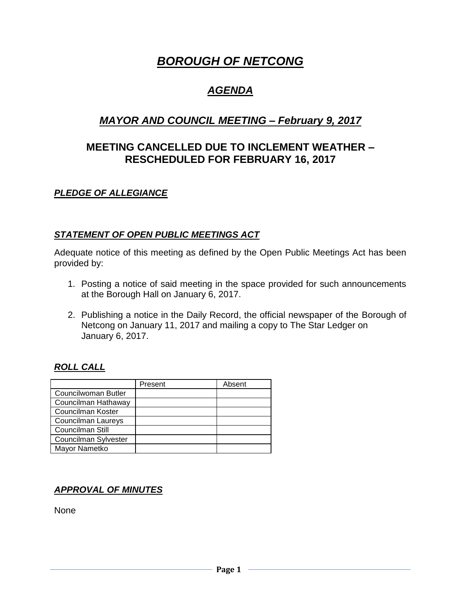# *BOROUGH OF NETCONG*

## *AGENDA*

## *MAYOR AND COUNCIL MEETING – February 9, 2017*

## **MEETING CANCELLED DUE TO INCLEMENT WEATHER – RESCHEDULED FOR FEBRUARY 16, 2017**

## *PLEDGE OF ALLEGIANCE*

#### *STATEMENT OF OPEN PUBLIC MEETINGS ACT*

Adequate notice of this meeting as defined by the Open Public Meetings Act has been provided by:

- 1. Posting a notice of said meeting in the space provided for such announcements at the Borough Hall on January 6, 2017.
- 2. Publishing a notice in the Daily Record, the official newspaper of the Borough of Netcong on January 11, 2017 and mailing a copy to The Star Ledger on January 6, 2017.

#### *ROLL CALL*

|                      | Present | Absent |
|----------------------|---------|--------|
| Councilwoman Butler  |         |        |
| Councilman Hathaway  |         |        |
| Councilman Koster    |         |        |
| Councilman Laureys   |         |        |
| Councilman Still     |         |        |
| Councilman Sylvester |         |        |
| Mayor Nametko        |         |        |

## *APPROVAL OF MINUTES*

None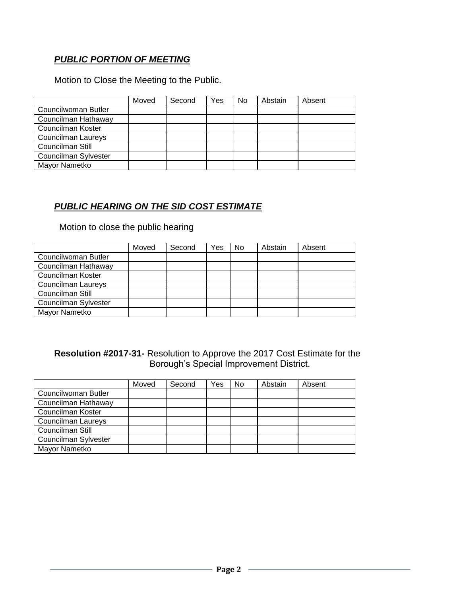## *PUBLIC PORTION OF MEETING*

Motion to Close the Meeting to the Public.

|                      | Moved | Second | Yes | <b>No</b> | Abstain | Absent |
|----------------------|-------|--------|-----|-----------|---------|--------|
| Councilwoman Butler  |       |        |     |           |         |        |
| Councilman Hathaway  |       |        |     |           |         |        |
| Councilman Koster    |       |        |     |           |         |        |
| Councilman Laureys   |       |        |     |           |         |        |
| Councilman Still     |       |        |     |           |         |        |
| Councilman Sylvester |       |        |     |           |         |        |
| Mayor Nametko        |       |        |     |           |         |        |

#### *PUBLIC HEARING ON THE SID COST ESTIMATE*

Motion to close the public hearing

|                      | Moved | Second | Yes | No | Abstain | Absent |
|----------------------|-------|--------|-----|----|---------|--------|
| Councilwoman Butler  |       |        |     |    |         |        |
| Councilman Hathaway  |       |        |     |    |         |        |
| Councilman Koster    |       |        |     |    |         |        |
| Councilman Laureys   |       |        |     |    |         |        |
| Councilman Still     |       |        |     |    |         |        |
| Councilman Sylvester |       |        |     |    |         |        |
| Mayor Nametko        |       |        |     |    |         |        |

#### **Resolution #2017-31-** Resolution to Approve the 2017 Cost Estimate for the Borough's Special Improvement District.

|                      | Moved | Second | Yes | No | Abstain | Absent |
|----------------------|-------|--------|-----|----|---------|--------|
| Councilwoman Butler  |       |        |     |    |         |        |
| Councilman Hathaway  |       |        |     |    |         |        |
| Councilman Koster    |       |        |     |    |         |        |
| Councilman Laureys   |       |        |     |    |         |        |
| Councilman Still     |       |        |     |    |         |        |
| Councilman Sylvester |       |        |     |    |         |        |
| Mayor Nametko        |       |        |     |    |         |        |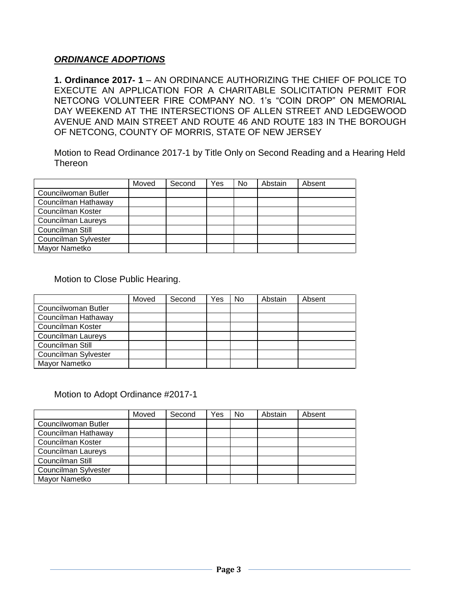#### *ORDINANCE ADOPTIONS*

**1. Ordinance 2017- 1** – AN ORDINANCE AUTHORIZING THE CHIEF OF POLICE TO EXECUTE AN APPLICATION FOR A CHARITABLE SOLICITATION PERMIT FOR NETCONG VOLUNTEER FIRE COMPANY NO. 1's "COIN DROP" ON MEMORIAL DAY WEEKEND AT THE INTERSECTIONS OF ALLEN STREET AND LEDGEWOOD AVENUE AND MAIN STREET AND ROUTE 46 AND ROUTE 183 IN THE BOROUGH OF NETCONG, COUNTY OF MORRIS, STATE OF NEW JERSEY

Motion to Read Ordinance 2017-1 by Title Only on Second Reading and a Hearing Held Thereon

|                      | Moved | Second | Yes | No | Abstain | Absent |
|----------------------|-------|--------|-----|----|---------|--------|
| Councilwoman Butler  |       |        |     |    |         |        |
| Councilman Hathaway  |       |        |     |    |         |        |
| Councilman Koster    |       |        |     |    |         |        |
| Councilman Laureys   |       |        |     |    |         |        |
| Councilman Still     |       |        |     |    |         |        |
| Councilman Sylvester |       |        |     |    |         |        |
| Mayor Nametko        |       |        |     |    |         |        |

Motion to Close Public Hearing.

|                      | Moved | Second | Yes | No | Abstain | Absent |
|----------------------|-------|--------|-----|----|---------|--------|
| Councilwoman Butler  |       |        |     |    |         |        |
| Councilman Hathaway  |       |        |     |    |         |        |
| Councilman Koster    |       |        |     |    |         |        |
| Councilman Laureys   |       |        |     |    |         |        |
| Councilman Still     |       |        |     |    |         |        |
| Councilman Sylvester |       |        |     |    |         |        |
| Mayor Nametko        |       |        |     |    |         |        |

#### Motion to Adopt Ordinance #2017-1

|                      | Moved | Second | Yes | No | Abstain | Absent |
|----------------------|-------|--------|-----|----|---------|--------|
| Councilwoman Butler  |       |        |     |    |         |        |
| Councilman Hathaway  |       |        |     |    |         |        |
| Councilman Koster    |       |        |     |    |         |        |
| Councilman Laureys   |       |        |     |    |         |        |
| Councilman Still     |       |        |     |    |         |        |
| Councilman Sylvester |       |        |     |    |         |        |
| Mayor Nametko        |       |        |     |    |         |        |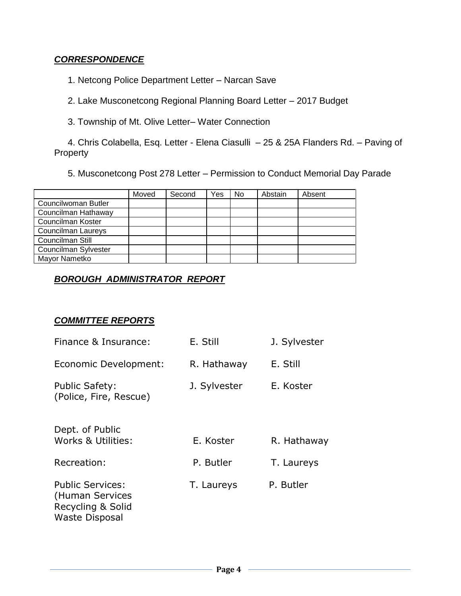#### *CORRESPONDENCE*

1. Netcong Police Department Letter – Narcan Save

2. Lake Musconetcong Regional Planning Board Letter – 2017 Budget

3. Township of Mt. Olive Letter– Water Connection

4. Chris Colabella, Esq. Letter - Elena Ciasulli – 25 & 25A Flanders Rd. – Paving of Property

5. Musconetcong Post 278 Letter – Permission to Conduct Memorial Day Parade

|                           | Moved | Second | Yes | No. | Abstain | Absent |
|---------------------------|-------|--------|-----|-----|---------|--------|
| Councilwoman Butler       |       |        |     |     |         |        |
| Councilman Hathaway       |       |        |     |     |         |        |
| Councilman Koster         |       |        |     |     |         |        |
| <b>Councilman Laureys</b> |       |        |     |     |         |        |
| Councilman Still          |       |        |     |     |         |        |
| Councilman Sylvester      |       |        |     |     |         |        |
| Mayor Nametko             |       |        |     |     |         |        |

## *BOROUGH ADMINISTRATOR REPORT*

#### *COMMITTEE REPORTS*

| Finance & Insurance:                                                                     | E. Still     | J. Sylvester |
|------------------------------------------------------------------------------------------|--------------|--------------|
| Economic Development:                                                                    | R. Hathaway  | E. Still     |
| <b>Public Safety:</b><br>(Police, Fire, Rescue)                                          | J. Sylvester | E. Koster    |
| Dept. of Public<br>Works & Utilities:                                                    | E. Koster    | R. Hathaway  |
| Recreation:                                                                              | P. Butler    | T. Laureys   |
| <b>Public Services:</b><br>(Human Services<br>Recycling & Solid<br><b>Waste Disposal</b> | T. Laureys   | P. Butler    |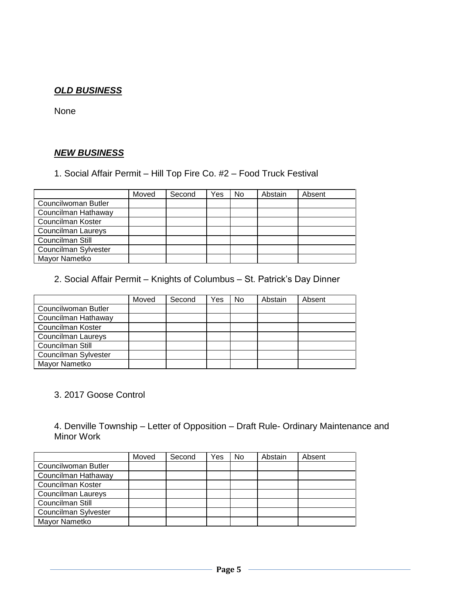## *OLD BUSINESS*

None

## *NEW BUSINESS*

1. Social Affair Permit – Hill Top Fire Co. #2 – Food Truck Festival

|                           | Moved | Second | Yes | No | Abstain | Absent |
|---------------------------|-------|--------|-----|----|---------|--------|
| Councilwoman Butler       |       |        |     |    |         |        |
| Councilman Hathaway       |       |        |     |    |         |        |
| Councilman Koster         |       |        |     |    |         |        |
| <b>Councilman Laureys</b> |       |        |     |    |         |        |
| Councilman Still          |       |        |     |    |         |        |
| Councilman Sylvester      |       |        |     |    |         |        |
| Mayor Nametko             |       |        |     |    |         |        |

2. Social Affair Permit – Knights of Columbus – St. Patrick's Day Dinner

|                           | Moved | Second | Yes | No | Abstain | Absent |
|---------------------------|-------|--------|-----|----|---------|--------|
| Councilwoman Butler       |       |        |     |    |         |        |
| Councilman Hathaway       |       |        |     |    |         |        |
| Councilman Koster         |       |        |     |    |         |        |
| <b>Councilman Laureys</b> |       |        |     |    |         |        |
| Councilman Still          |       |        |     |    |         |        |
| Councilman Sylvester      |       |        |     |    |         |        |
| Mayor Nametko             |       |        |     |    |         |        |

#### 3. 2017 Goose Control

4. Denville Township – Letter of Opposition – Draft Rule- Ordinary Maintenance and Minor Work

|                      | Moved | Second | Yes | <b>No</b> | Abstain | Absent |
|----------------------|-------|--------|-----|-----------|---------|--------|
| Councilwoman Butler  |       |        |     |           |         |        |
| Councilman Hathaway  |       |        |     |           |         |        |
| Councilman Koster    |       |        |     |           |         |        |
| Councilman Laureys   |       |        |     |           |         |        |
| Councilman Still     |       |        |     |           |         |        |
| Councilman Sylvester |       |        |     |           |         |        |
| Mayor Nametko        |       |        |     |           |         |        |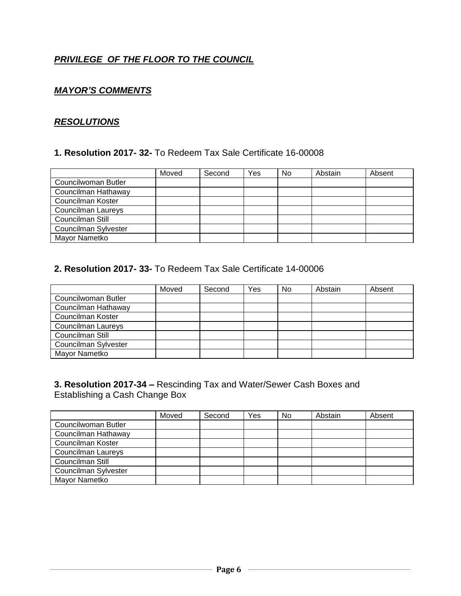## *PRIVILEGE OF THE FLOOR TO THE COUNCIL*

### *MAYOR'S COMMENTS*

#### *RESOLUTIONS*

#### **1. Resolution 2017- 32-** To Redeem Tax Sale Certificate 16-00008

|                      | Moved | Second | Yes | No | Abstain | Absent |
|----------------------|-------|--------|-----|----|---------|--------|
| Councilwoman Butler  |       |        |     |    |         |        |
| Councilman Hathaway  |       |        |     |    |         |        |
| Councilman Koster    |       |        |     |    |         |        |
| Councilman Laureys   |       |        |     |    |         |        |
| Councilman Still     |       |        |     |    |         |        |
| Councilman Sylvester |       |        |     |    |         |        |
| Mayor Nametko        |       |        |     |    |         |        |

#### **2. Resolution 2017- 33-** To Redeem Tax Sale Certificate 14-00006

|                      | Moved | Second | Yes | <b>No</b> | Abstain | Absent |
|----------------------|-------|--------|-----|-----------|---------|--------|
| Councilwoman Butler  |       |        |     |           |         |        |
| Councilman Hathaway  |       |        |     |           |         |        |
| Councilman Koster    |       |        |     |           |         |        |
| Councilman Laureys   |       |        |     |           |         |        |
| Councilman Still     |       |        |     |           |         |        |
| Councilman Sylvester |       |        |     |           |         |        |
| Mayor Nametko        |       |        |     |           |         |        |

#### **3. Resolution 2017-34 –** Rescinding Tax and Water/Sewer Cash Boxes and Establishing a Cash Change Box

|                      | Moved | Second | Yes | N <sub>0</sub> | Abstain | Absent |
|----------------------|-------|--------|-----|----------------|---------|--------|
| Councilwoman Butler  |       |        |     |                |         |        |
| Councilman Hathaway  |       |        |     |                |         |        |
| Councilman Koster    |       |        |     |                |         |        |
| Councilman Laureys   |       |        |     |                |         |        |
| Councilman Still     |       |        |     |                |         |        |
| Councilman Sylvester |       |        |     |                |         |        |
| Mayor Nametko        |       |        |     |                |         |        |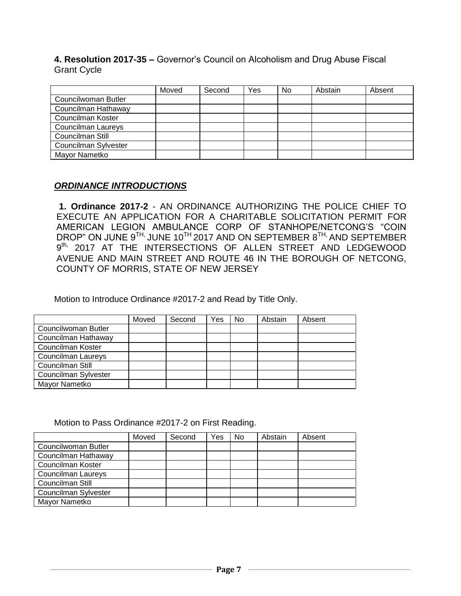**4. Resolution 2017-35 –** Governor's Council on Alcoholism and Drug Abuse Fiscal Grant Cycle

|                           | Moved | Second | Yes | <b>No</b> | Abstain | Absent |
|---------------------------|-------|--------|-----|-----------|---------|--------|
| Councilwoman Butler       |       |        |     |           |         |        |
| Councilman Hathaway       |       |        |     |           |         |        |
| Councilman Koster         |       |        |     |           |         |        |
| <b>Councilman Laureys</b> |       |        |     |           |         |        |
| Councilman Still          |       |        |     |           |         |        |
| Councilman Sylvester      |       |        |     |           |         |        |
| Mayor Nametko             |       |        |     |           |         |        |

## *ORDINANCE INTRODUCTIONS*

**1. Ordinance 2017-2** - AN ORDINANCE AUTHORIZING THE POLICE CHIEF TO EXECUTE AN APPLICATION FOR A CHARITABLE SOLICITATION PERMIT FOR AMERICAN LEGION AMBULANCE CORP OF STANHOPE/NETCONG'S "COIN DROP" ON JUNE  $9^{TH}$ , JUNE 10<sup>TH</sup> 2017 AND ON SEPTEMBER  $8^{TH}$ , AND SEPTEMBER 9<sup>th,</sup> 2017 AT THE INTERSECTIONS OF ALLEN STREET AND LEDGEWOOD AVENUE AND MAIN STREET AND ROUTE 46 IN THE BOROUGH OF NETCONG, COUNTY OF MORRIS, STATE OF NEW JERSEY

Motion to Introduce Ordinance #2017-2 and Read by Title Only.

|                           | Moved | Second | Yes | <b>No</b> | Abstain | Absent |
|---------------------------|-------|--------|-----|-----------|---------|--------|
| Councilwoman Butler       |       |        |     |           |         |        |
| Councilman Hathaway       |       |        |     |           |         |        |
| Councilman Koster         |       |        |     |           |         |        |
| <b>Councilman Laureys</b> |       |        |     |           |         |        |
| Councilman Still          |       |        |     |           |         |        |
| Councilman Sylvester      |       |        |     |           |         |        |
| Mayor Nametko             |       |        |     |           |         |        |

Motion to Pass Ordinance #2017-2 on First Reading.

|                      | Moved | Second | Yes | No. | Abstain | Absent |
|----------------------|-------|--------|-----|-----|---------|--------|
| Councilwoman Butler  |       |        |     |     |         |        |
| Councilman Hathaway  |       |        |     |     |         |        |
| Councilman Koster    |       |        |     |     |         |        |
| Councilman Laureys   |       |        |     |     |         |        |
| Councilman Still     |       |        |     |     |         |        |
| Councilman Sylvester |       |        |     |     |         |        |
| Mayor Nametko        |       |        |     |     |         |        |